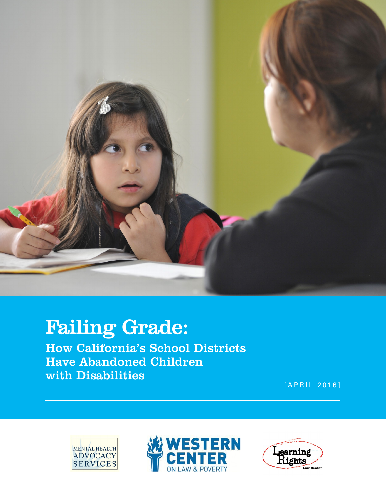

# Failing Grade:

How California's School Districts Have Abandoned Children with Disabilities

[APRIL 2016]





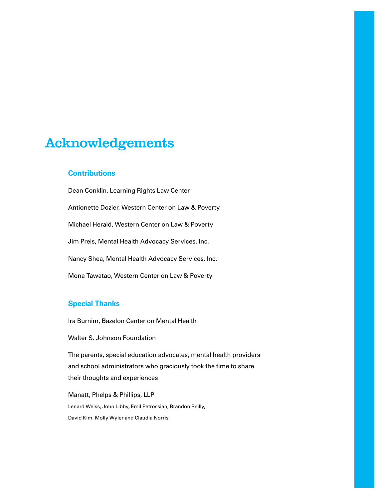# Acknowledgements

### **Contributions**

Dean Conklin, Learning Rights Law Center Antionette Dozier, Western Center on Law & Poverty Michael Herald, Western Center on Law & Poverty Jim Preis, Mental Health Advocacy Services, Inc. Nancy Shea, Mental Health Advocacy Services, Inc. Mona Tawatao, Western Center on Law & Poverty

## **Special Thanks**

Ira Burnim, Bazelon Center on Mental Health

Walter S. Johnson Foundation

The parents, special education advocates, mental health providers and school administrators who graciously took the time to share their thoughts and experiences

Manatt, Phelps & Phillips, LLP Lenard Weiss, John Libby, Emil Petrossian, Brandon Reilly, David Kim, Molly Wyler and Claudia Norris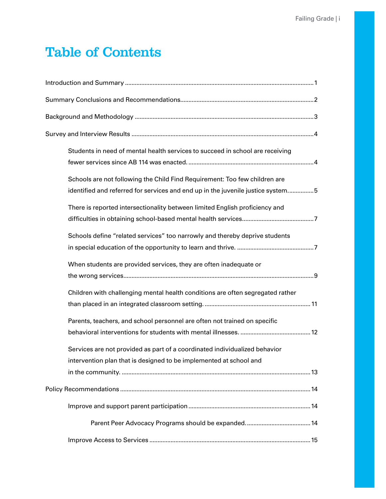# Table of Contents

| Students in need of mental health services to succeed in school are receiving                                                                                 |
|---------------------------------------------------------------------------------------------------------------------------------------------------------------|
| Schools are not following the Child Find Requirement: Too few children are<br>identified and referred for services and end up in the juvenile justice system5 |
| There is reported intersectionality between limited English proficiency and                                                                                   |
| Schools define "related services" too narrowly and thereby deprive students                                                                                   |
| When students are provided services, they are often inadequate or                                                                                             |
| Children with challenging mental health conditions are often segregated rather                                                                                |
| Parents, teachers, and school personnel are often not trained on specific                                                                                     |
| Services are not provided as part of a coordinated individualized behavior<br>intervention plan that is designed to be implemented at school and              |
|                                                                                                                                                               |
|                                                                                                                                                               |
|                                                                                                                                                               |
|                                                                                                                                                               |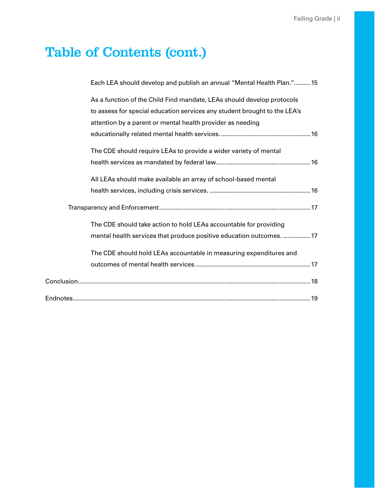# Table of Contents (cont.)

| Each LEA should develop and publish an annual "Mental Health Plan."15                                                                   |
|-----------------------------------------------------------------------------------------------------------------------------------------|
| As a function of the Child Find mandate, LEAs should develop protocols                                                                  |
| to assess for special education services any student brought to the LEA's<br>attention by a parent or mental health provider as needing |
|                                                                                                                                         |
| The CDE should require LEAs to provide a wider variety of mental                                                                        |
|                                                                                                                                         |
| All LEAs should make available an array of school-based mental                                                                          |
|                                                                                                                                         |
|                                                                                                                                         |
| The CDE should take action to hold LEAs accountable for providing                                                                       |
| mental health services that produce positive education outcomes 17                                                                      |
| The CDE should hold LEAs accountable in measuring expenditures and                                                                      |
|                                                                                                                                         |
|                                                                                                                                         |
|                                                                                                                                         |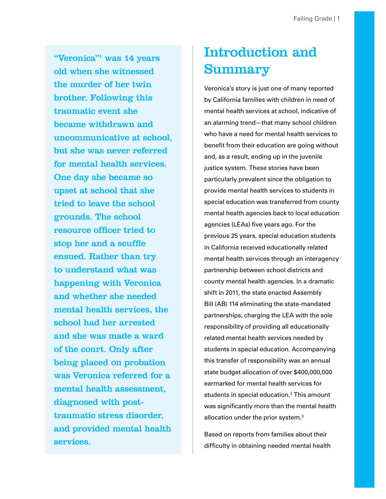<span id="page-4-0"></span>"Veronica"<sup>1</sup> was 14 years old when she witnessed the murder of her twin brother. Following this traumatic event she became withdrawn and uncommunicative at school, but she was never referred for mental health services. One day she became so upset at school that she tried to leave the school grounds. The school resource officer tried to stop her and a scuffle ensued. Rather than try to understand what was happening with Veronica and whether she needed mental health services, the school had her arrested and she was made a ward of the court. Only after being placed on probation was Veronica referred for a mental health assessment, diagnosed with posttraumatic stress disorder, and provided mental health services.

# Introduction and Summary

Veronica's story is just one of many reported by California families with children in need of mental health services at school, indicative of an alarming trend—that many school children who have a need for mental health services to benefit from their education are going without and, as a result, ending up in the juvenile justice system. These stories have been particularly prevalent since the obligation to provide mental health services to students in special education was transferred from county mental health agencies back to local education agencies (LEAs) five years ago. For the previous 25 years, special education students in California received educationally related mental health services through an interagency partnership between school districts and county mental health agencies. In a dramatic shift in 2011, the state enacted Assembly Bill (AB) 114 eliminating the state-mandated partnerships, charging the LEA with the sole responsibility of providing all educationally related mental health services needed by students in special education. Accompanying this transfer of responsibility was an annual state budget allocation of over \$400,000,000 earmarked for mental health services for students in special education.<sup>[2](#page-22-2)</sup> This amount was significantly more than the mental health allocation under the prior system.<sup>[3](#page-22-3)</sup>

Based on reports from families about their difficulty in obtaining needed mental health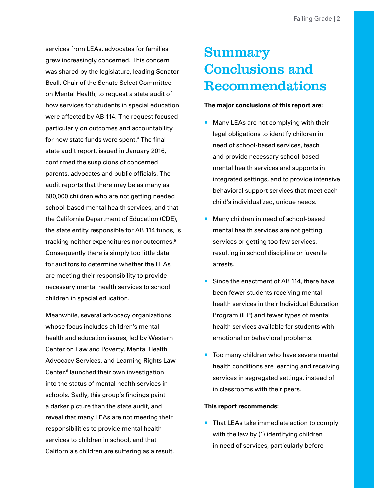<span id="page-5-0"></span>services from LEAs, advocates for families grew increasingly concerned. This concern was shared by the legislature, leading Senator Beall, Chair of the Senate Select Committee on Mental Health, to request a state audit of how services for students in special education were affected by AB 114. The request focused particularly on outcomes and accountability for how state funds were spent.[4](#page-22-4) The final state audit report, issued in January 2016, confirmed the suspicions of concerned parents, advocates and public officials. The audit reports that there may be as many as 580,000 children who are not getting needed school-based mental health services, and that the California Department of Education (CDE), the state entity responsible for AB 114 funds, is tracking neither expenditures nor outcomes.<sup>5</sup> Consequently there is simply too little data for auditors to determine whether the LEAs are meeting their responsibility to provide necessary mental health services to school children in special education.

Meanwhile, several advocacy organizations whose focus includes children's mental health and education issues, led by Western Center on Law and Poverty, Mental Health Advocacy Services, and Learning Rights Law Center,<sup>[6](#page-22-6)</sup> launched their own investigation into the status of mental health services in schools. Sadly, this group's findings paint a darker picture than the state audit, and reveal that many LEAs are not meeting their responsibilities to provide mental health services to children in school, and that California's children are suffering as a result.

# Summary Conclusions and Recommendations

#### **The major conclusions of this report are:**

- Many LEAs are not complying with their legal obligations to identify children in need of school-based services, teach and provide necessary school-based mental health services and supports in integrated settings, and to provide intensive behavioral support services that meet each child's individualized, unique needs.
- Many children in need of school-based mental health services are not getting services or getting too few services, resulting in school discipline or juvenile arrests.
- Since the enactment of AB 114, there have been fewer students receiving mental health services in their Individual Education Program (IEP) and fewer types of mental health services available for students with emotional or behavioral problems.
- Too many children who have severe mental health conditions are learning and receiving services in segregated settings, instead of in classrooms with their peers.

#### **This report recommends:**

**That LEAs take immediate action to comply** with the law by (1) identifying children in need of services, particularly before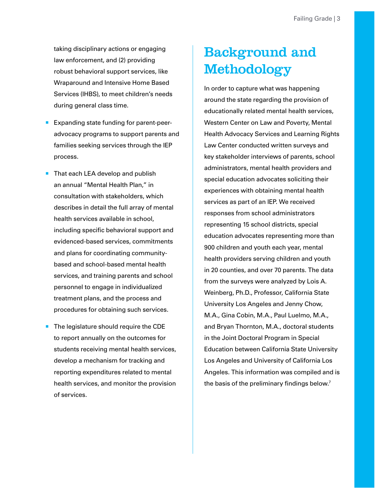<span id="page-6-0"></span>taking disciplinary actions or engaging law enforcement, and (2) providing robust behavioral support services, like Wraparound and Intensive Home Based Services (IHBS), to meet children's needs during general class time.

- **Expanding state funding for parent-peer**advocacy programs to support parents and families seeking services through the IEP process.
- That each LEA develop and publish an annual "Mental Health Plan," in consultation with stakeholders, which describes in detail the full array of mental health services available in school, including specific behavioral support and evidenced-based services, commitments and plans for coordinating communitybased and school-based mental health services, and training parents and school personnel to engage in individualized treatment plans, and the process and procedures for obtaining such services.
- $\blacksquare$  The legislature should require the CDE to report annually on the outcomes for students receiving mental health services, develop a mechanism for tracking and reporting expenditures related to mental health services, and monitor the provision of services.

# Background and Methodology

In order to capture what was happening around the state regarding the provision of educationally related mental health services, Western Center on Law and Poverty, Mental Health Advocacy Services and Learning Rights Law Center conducted written surveys and key stakeholder interviews of parents, school administrators, mental health providers and special education advocates soliciting their experiences with obtaining mental health services as part of an IEP. We received responses from school administrators representing 15 school districts, special education advocates representing more than 900 children and youth each year, mental health providers serving children and youth in 20 counties, and over 70 parents. The data from the surveys were analyzed by Lois A. Weinberg, Ph.D., Professor, California State University Los Angeles and Jenny Chow, M.A., Gina Cobin, M.A., Paul Luelmo, M.A., and Bryan Thornton, M.A., doctoral students in the Joint Doctoral Program in Special Education between California State University Los Angeles and University of California Los Angeles. This information was compiled and is the basis of the preliminary findings below.<sup>7</sup>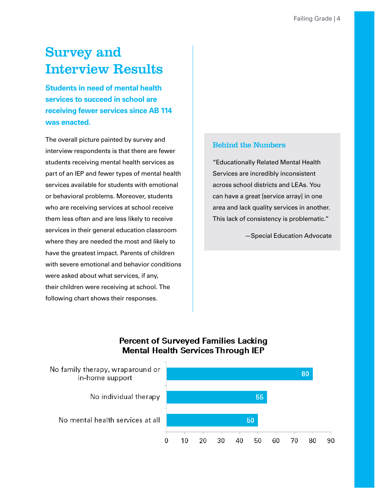# <span id="page-7-0"></span>Survey and Interview Results

**Students in need of mental health services to succeed in school are receiving fewer services since AB 114 was enacted.**

The overall picture painted by survey and interview respondents is that there are fewer students receiving mental health services as part of an IEP and fewer types of mental health services available for students with emotional or behavioral problems. Moreover, students who are receiving services at school receive them less often and are less likely to receive services in their general education classroom where they are needed the most and likely to have the greatest impact. Parents of children with severe emotional and behavior conditions were asked about what services, if any, their children were receiving at school. The following chart shows their responses.

### Behind the Numbers

"Educationally Related Mental Health Services are incredibly inconsistent across school districts and LEAs. You can have a great [service array] in one area and lack quality services in another. This lack of consistency is problematic."

—Special Education Advocate

## **Percent of Surveyed Families Lacking Mental Health Services Through IEP**

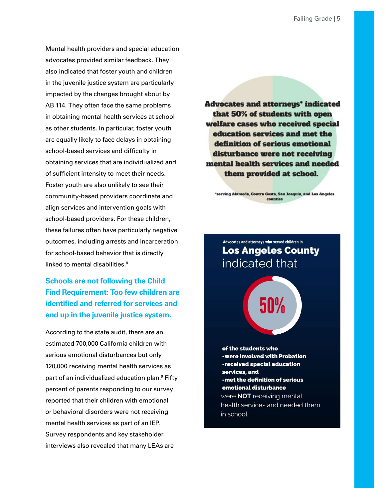<span id="page-8-0"></span>Mental health providers and special education advocates provided similar feedback. They also indicated that foster youth and children in the juvenile justice system are particularly impacted by the changes brought about by AB 114. They often face the same problems in obtaining mental health services at school as other students. In particular, foster youth are equally likely to face delays in obtaining school-based services and difficulty in obtaining services that are individualized and of sufficient intensity to meet their needs. Foster youth are also unlikely to see their community-based providers coordinate and align services and intervention goals with school-based providers. For these children, these failures often have particularly negative outcomes, including arrests and incarceration for school-based behavior that is directly linked to mental disabilities.<sup>[8](#page-22-8)</sup>

**Schools are not following the Child Find Requirement: Too few children are identified and referred for services and end up in the juvenile justice system.**

According to the state audit, there are an estimated 700,000 California children with serious emotional disturbances but only 120,000 receiving mental health services as part of an individualized education plan.<sup>[9](#page-22-9)</sup> Fifty percent of parents responding to our survey reported that their children with emotional or behavioral disorders were not receiving mental health services as part of an IEP. Survey respondents and key stakeholder interviews also revealed that many LEAs are

**Advocates and attorneys\* indicated** that 50% of students with open welfare cases who received special education services and met the definition of serious emotional disturbance were not receiving mental health services and needed them provided at school.

'serving Alameda, Contra Costa, San Joaquin, and Los Angeles counties

Advocates and attorneys who served children in **Los Angeles County** indicated that

50%

of the students who -were involved with Probation -received special education services, and -met the definition of serious emotional disturbance were NOT receiving mental health services and needed them in school.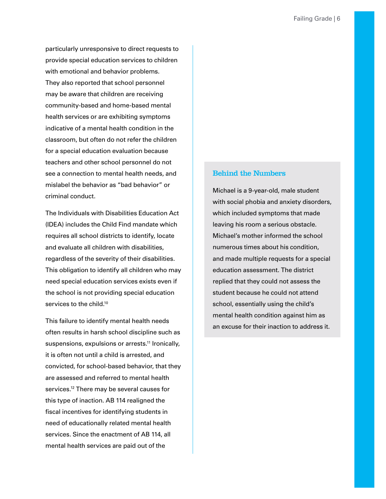particularly unresponsive to direct requests to provide special education services to children with emotional and behavior problems. They also reported that school personnel may be aware that children are receiving community-based and home-based mental health services or are exhibiting symptoms indicative of a mental health condition in the classroom, but often do not refer the children for a special education evaluation because teachers and other school personnel do not see a connection to mental health needs, and mislabel the behavior as "bad behavior" or criminal conduct.

The Individuals with Disabilities Education Act (IDEA) includes the Child Find mandate which requires all school districts to identify, locate and evaluate all children with disabilities, regardless of the severity of their disabilities. This obligation to identify all children who may need special education services exists even if the school is not providing special education services to the child.<sup>10</sup>

This failure to identify mental health needs often results in harsh school discipline such as suspensions, expulsions or arrests.<sup>11</sup> Ironically, it is often not until a child is arrested, and convicted, for school-based behavior, that they are assessed and referred to mental health services.<sup>12</sup> There may be several causes for this type of inaction. AB 114 realigned the fiscal incentives for identifying students in need of educationally related mental health services. Since the enactment of AB 114, all mental health services are paid out of the

#### Behind the Numbers

Michael is a 9-year-old, male student with social phobia and anxiety disorders, which included symptoms that made leaving his room a serious obstacle. Michael's mother informed the school numerous times about his condition, and made multiple requests for a special education assessment. The district replied that they could not assess the student because he could not attend school, essentially using the child's mental health condition against him as an excuse for their inaction to address it.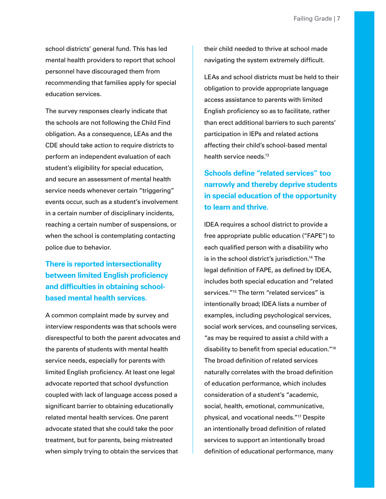<span id="page-10-0"></span>school districts' general fund. This has led mental health providers to report that school personnel have discouraged them from recommending that families apply for special education services.

The survey responses clearly indicate that the schools are not following the Child Find obligation. As a consequence, LEAs and the CDE should take action to require districts to perform an independent evaluation of each student's eligibility for special education, and secure an assessment of mental health service needs whenever certain "triggering" events occur, such as a student's involvement in a certain number of disciplinary incidents, reaching a certain number of suspensions, or when the school is contemplating contacting police due to behavior.

**There is reported intersectionality between limited English proficiency and difficulties in obtaining schoolbased mental health services.**

A common complaint made by survey and interview respondents was that schools were disrespectful to both the parent advocates and the parents of students with mental health service needs, especially for parents with limited English proficiency. At least one legal advocate reported that school dysfunction coupled with lack of language access posed a significant barrier to obtaining educationally related mental health services. One parent advocate stated that she could take the poor treatment, but for parents, being mistreated when simply trying to obtain the services that

their child needed to thrive at school made navigating the system extremely difficult.

LEAs and school districts must be held to their obligation to provide appropriate language access assistance to parents with limited English proficiency so as to facilitate, rather than erect additional barriers to such parents' participation in IEPs and related actions affecting their child's school-based mental health service needs.<sup>13</sup>

## **Schools define "related services" too narrowly and thereby deprive students in special education of the opportunity to learn and thrive.**

IDEA requires a school district to provide a free appropriate public education ("FAPE") to each qualified person with a disability who is in the school district's jurisdiction[.14](#page-22-14) The legal definition of FAPE, as defined by IDEA, includes both special education and "related services."<sup>15</sup> The term "related services" is intentionally broad; IDEA lists a number of examples, including psychological services, social work services, and counseling services, "as may be required to assist a child with a disability to benefit from special education.["16](#page-22-16) The broad definition of related services naturally correlates with the broad definition of education performance, which includes consideration of a student's "academic, social, health, emotional, communicative, physical, and vocational needs.["17](#page-22-17) Despite an intentionally broad definition of related services to support an intentionally broad definition of educational performance, many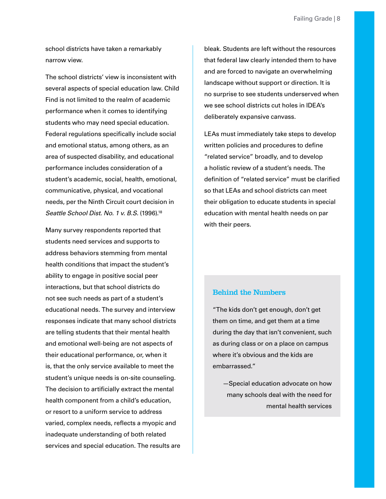school districts have taken a remarkably narrow view.

The school districts' view is inconsistent with several aspects of special education law. Child Find is not limited to the realm of academic performance when it comes to identifying students who may need special education. Federal regulations specifically include social and emotional status, among others, as an area of suspected disability, and educational performance includes consideration of a student's academic, social, health, emotional, communicative, physical, and vocational needs, per the Ninth Circuit court decision in *Seattle School Dist. No. 1 v. B.S.* (1996)[.18](#page-22-18)

Many survey respondents reported that students need services and supports to address behaviors stemming from mental health conditions that impact the student's ability to engage in positive social peer interactions, but that school districts do not see such needs as part of a student's educational needs. The survey and interview responses indicate that many school districts are telling students that their mental health and emotional well-being are not aspects of their educational performance, or, when it is, that the only service available to meet the student's unique needs is on-site counseling. The decision to artificially extract the mental health component from a child's education, or resort to a uniform service to address varied, complex needs, reflects a myopic and inadequate understanding of both related services and special education. The results are bleak. Students are left without the resources that federal law clearly intended them to have and are forced to navigate an overwhelming landscape without support or direction. It is no surprise to see students underserved when we see school districts cut holes in IDEA's deliberately expansive canvass.

LEAs must immediately take steps to develop written policies and procedures to define "related service" broadly, and to develop a holistic review of a student's needs. The definition of "related service" must be clarified so that LEAs and school districts can meet their obligation to educate students in special education with mental health needs on par with their peers.

#### Behind the Numbers

"The kids don't get enough, don't get them on time, and get them at a time during the day that isn't convenient, such as during class or on a place on campus where it's obvious and the kids are embarrassed."

—Special education advocate on how many schools deal with the need for mental health services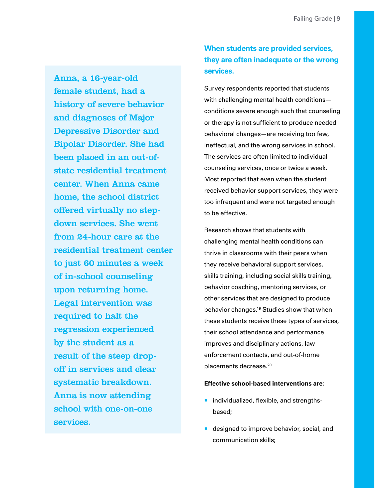<span id="page-12-0"></span>Anna, a 16-year-old female student, had a history of severe behavior and diagnoses of Major Depressive Disorder and Bipolar Disorder. She had been placed in an out-ofstate residential treatment center. When Anna came home, the school district offered virtually no stepdown services. She went from 24-hour care at the residential treatment center to just 60 minutes a week of in-school counseling upon returning home. Legal intervention was required to halt the regression experienced by the student as a result of the steep dropoff in services and clear systematic breakdown. Anna is now attending school with one-on-one services.

## **When students are provided services, they are often inadequate or the wrong services.**

Survey respondents reported that students with challenging mental health conditions conditions severe enough such that counseling or therapy is not sufficient to produce needed behavioral changes—are receiving too few, ineffectual, and the wrong services in school. The services are often limited to individual counseling services, once or twice a week. Most reported that even when the student received behavior support services, they were too infrequent and were not targeted enough to be effective.

Research shows that students with challenging mental health conditions can thrive in classrooms with their peers when they receive behavioral support services, skills training, including social skills training, behavior coaching, mentoring services, or other services that are designed to produce behavior changes[.19](#page-22-19) Studies show that when these students receive these types of services, their school attendance and performance improves and disciplinary actions, law enforcement contacts, and out-of-home placements decrease.[20](#page-22-20)

#### **Effective school-based interventions are:**

- $\blacksquare$  individualized, flexible, and strengthsbased;
- e designed to improve behavior, social, and communication skills;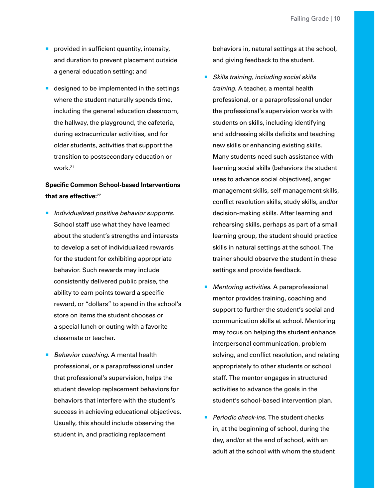- **provided in sufficient quantity, intensity,** and duration to prevent placement outside a general education setting; and
- designed to be implemented in the settings where the student naturally spends time, including the general education classroom, the hallway, the playground, the cafeteria, during extracurricular activities, and for older students, activities that support the transition to postsecondary education or work[.21](#page-23-0)

## **Specific Common School-based Interventions that are effective:**[22](#page-23-1)

- *Individualized positive behavior supports.* School staff use what they have learned about the student's strengths and interests to develop a set of individualized rewards for the student for exhibiting appropriate behavior. Such rewards may include consistently delivered public praise, the ability to earn points toward a specific reward, or "dollars" to spend in the school's store on items the student chooses or a special lunch or outing with a favorite classmate or teacher.
- *Behavior coaching.* A mental health professional, or a paraprofessional under that professional's supervision, helps the student develop replacement behaviors for behaviors that interfere with the student's success in achieving educational objectives. Usually, this should include observing the student in, and practicing replacement

behaviors in, natural settings at the school, and giving feedback to the student.

- *Skills training, including social skills training.* A teacher, a mental health professional, or a paraprofessional under the professional's supervision works with students on skills, including identifying and addressing skills deficits and teaching new skills or enhancing existing skills. Many students need such assistance with learning social skills (behaviors the student uses to advance social objectives), anger management skills, self-management skills, conflict resolution skills, study skills, and/or decision-making skills. After learning and rehearsing skills, perhaps as part of a small learning group, the student should practice skills in natural settings at the school. The trainer should observe the student in these settings and provide feedback.
- *Mentoring activities.* A paraprofessional mentor provides training, coaching and support to further the student's social and communication skills at school. Mentoring may focus on helping the student enhance interpersonal communication, problem solving, and conflict resolution, and relating appropriately to other students or school staff. The mentor engages in structured activities to advance the goals in the student's school-based intervention plan.
- *Periodic check-ins.* The student checks in, at the beginning of school, during the day, and/or at the end of school, with an adult at the school with whom the student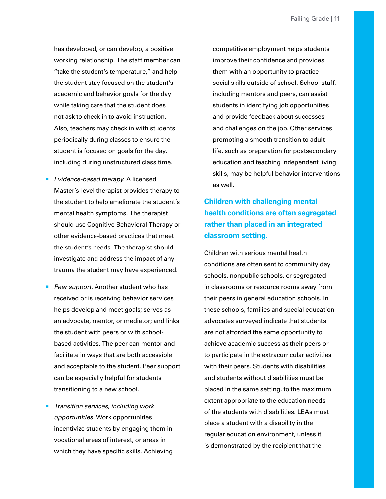<span id="page-14-0"></span>has developed, or can develop, a positive working relationship. The staff member can "take the student's temperature," and help the student stay focused on the student's academic and behavior goals for the day while taking care that the student does not ask to check in to avoid instruction. Also, teachers may check in with students periodically during classes to ensure the student is focused on goals for the day, including during unstructured class time.

- **Evidence-based therapy. A licensed** Master's-level therapist provides therapy to the student to help ameliorate the student's mental health symptoms. The therapist should use Cognitive Behavioral Therapy or other evidence-based practices that meet the student's needs. The therapist should investigate and address the impact of any trauma the student may have experienced.
- **Peer support.** Another student who has received or is receiving behavior services helps develop and meet goals; serves as an advocate, mentor, or mediator; and links the student with peers or with schoolbased activities. The peer can mentor and facilitate in ways that are both accessible and acceptable to the student. Peer support can be especially helpful for students transitioning to a new school.
- *Transition services, including work opportunities.* Work opportunities incentivize students by engaging them in vocational areas of interest, or areas in which they have specific skills. Achieving

competitive employment helps students improve their confidence and provides them with an opportunity to practice social skills outside of school. School staff, including mentors and peers, can assist students in identifying job opportunities and provide feedback about successes and challenges on the job. Other services promoting a smooth transition to adult life, such as preparation for postsecondary education and teaching independent living skills, may be helpful behavior interventions as well.

**Children with challenging mental health conditions are often segregated rather than placed in an integrated classroom setting.**

Children with serious mental health conditions are often sent to community day schools, nonpublic schools, or segregated in classrooms or resource rooms away from their peers in general education schools. In these schools, families and special education advocates surveyed indicate that students are not afforded the same opportunity to achieve academic success as their peers or to participate in the extracurricular activities with their peers. Students with disabilities and students without disabilities must be placed in the same setting, to the maximum extent appropriate to the education needs of the students with disabilities. LEAs must place a student with a disability in the regular education environment, unless it is demonstrated by the recipient that the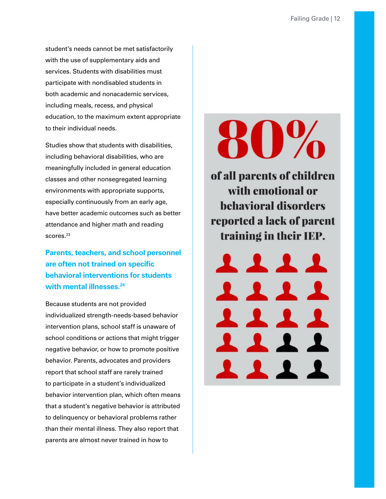<span id="page-15-0"></span>student's needs cannot be met satisfactorily with the use of supplementary aids and services. Students with disabilities must participate with nondisabled students in both academic and nonacademic services, including meals, recess, and physical education, to the maximum extent appropriate to their individual needs.

Studies show that students with disabilities, including behavioral disabilities, who are meaningfully included in general education classes and other nonsegregated learning environments with appropriate supports, especially continuously from an early age, have better academic outcomes such as better attendance and higher math and reading scores.<sup>23</sup>

**Parents, teachers, and school personnel are often not trained on specific behavioral interventions for students with mental illnesses[.24](#page-23-3)**

Because students are not provided individualized strength-needs-based behavior intervention plans, school staff is unaware of school conditions or actions that might trigger negative behavior, or how to promote positive behavior. Parents, advocates and providers report that school staff are rarely trained to participate in a student's individualized behavior intervention plan, which often means that a student's negative behavior is attributed to delinquency or behavioral problems rather than their mental illness. They also report that parents are almost never trained in how to

# **80%**

of all parents of children with emotional or **behavioral disorders** reported a lack of parent training in their IEP.

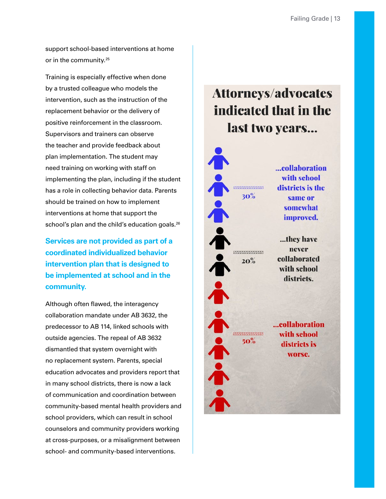<span id="page-16-0"></span>support school-based interventions at home or in the community.[25](#page-23-4)

Training is especially effective when done by a trusted colleague who models the intervention, such as the instruction of the replacement behavior or the delivery of positive reinforcement in the classroom. Supervisors and trainers can observe the teacher and provide feedback about plan implementation. The student may need training on working with staff on implementing the plan, including if the student has a role in collecting behavior data. Parents should be trained on how to implement interventions at home that support the school's plan and the child's education goals.<sup>26</sup>

**Services are not provided as part of a coordinated individualized behavior intervention plan that is designed to be implemented at school and in the community.**

Although often flawed, the interagency collaboration mandate under AB 3632, the predecessor to AB 114, linked schools with outside agencies. The repeal of AB 3632 dismantled that system overnight with no replacement system. Parents, special education advocates and providers report that in many school districts, there is now a lack of communication and coordination between community-based mental health providers and school providers, which can result in school counselors and community providers working at cross-purposes, or a misalignment between school- and community-based interventions.

# **Attorneys/advocates** indicated that in the last two years...

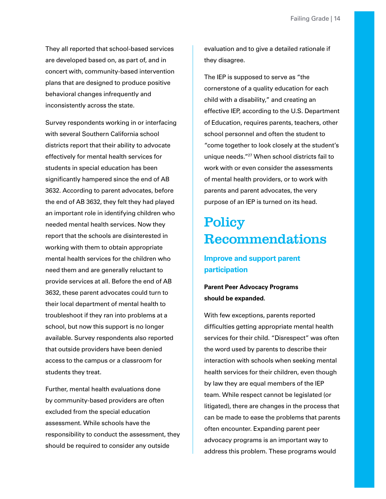<span id="page-17-0"></span>They all reported that school-based services are developed based on, as part of, and in concert with, community-based intervention plans that are designed to produce positive behavioral changes infrequently and inconsistently across the state.

Survey respondents working in or interfacing with several Southern California school districts report that their ability to advocate effectively for mental health services for students in special education has been significantly hampered since the end of AB 3632. According to parent advocates, before the end of AB 3632, they felt they had played an important role in identifying children who needed mental health services. Now they report that the schools are disinterested in working with them to obtain appropriate mental health services for the children who need them and are generally reluctant to provide services at all. Before the end of AB 3632, these parent advocates could turn to their local department of mental health to troubleshoot if they ran into problems at a school, but now this support is no longer available. Survey respondents also reported that outside providers have been denied access to the campus or a classroom for students they treat.

Further, mental health evaluations done by community-based providers are often excluded from the special education assessment. While schools have the responsibility to conduct the assessment, they should be required to consider any outside

evaluation and to give a detailed rationale if they disagree.

The IEP is supposed to serve as "the cornerstone of a quality education for each child with a disability," and creating an effective IEP, according to the U.S. Department of Education, requires parents, teachers, other school personnel and often the student to "come together to look closely at the student's unique needs."[27](#page-23-6) When school districts fail to work with or even consider the assessments of mental health providers, or to work with parents and parent advocates, the very purpose of an IEP is turned on its head.

# **Policy** Recommendations

## **Improve and support parent participation**

**Parent Peer Advocacy Programs should be expanded.**

With few exceptions, parents reported difficulties getting appropriate mental health services for their child. "Disrespect" was often the word used by parents to describe their interaction with schools when seeking mental health services for their children, even though by law they are equal members of the IEP team. While respect cannot be legislated (or litigated), there are changes in the process that can be made to ease the problems that parents often encounter. Expanding parent peer advocacy programs is an important way to address this problem. These programs would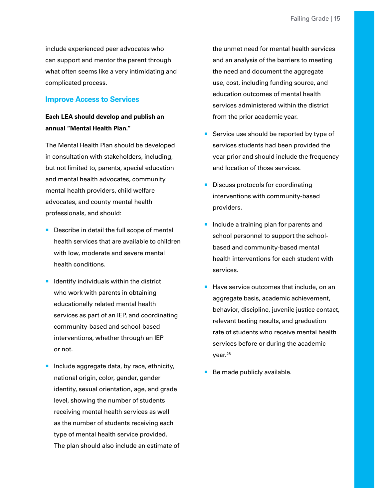<span id="page-18-0"></span>include experienced peer advocates who can support and mentor the parent through what often seems like a very intimidating and complicated process.

#### **Improve Access to Services**

## **Each LEA should develop and publish an annual "Mental Health Plan."**

The Mental Health Plan should be developed in consultation with stakeholders, including, but not limited to, parents, special education and mental health advocates, community mental health providers, child welfare advocates, and county mental health professionals, and should:

- **Describe in detail the full scope of mental** health services that are available to children with low, moderate and severe mental health conditions.
- I Identify individuals within the district who work with parents in obtaining educationally related mental health services as part of an IEP, and coordinating community-based and school-based interventions, whether through an IEP or not.
- **Include aggregate data, by race, ethnicity,** national origin, color, gender, gender identity, sexual orientation, age, and grade level, showing the number of students receiving mental health services as well as the number of students receiving each type of mental health service provided. The plan should also include an estimate of

the unmet need for mental health services and an analysis of the barriers to meeting the need and document the aggregate use, cost, including funding source, and education outcomes of mental health services administered within the district from the prior academic year.

- Service use should be reported by type of services students had been provided the year prior and should include the frequency and location of those services.
- Discuss protocols for coordinating interventions with community-based providers.
- Include a training plan for parents and school personnel to support the schoolbased and community-based mental health interventions for each student with services.
- Have service outcomes that include, on an aggregate basis, academic achievement, behavior, discipline, juvenile justice contact, relevant testing results, and graduation rate of students who receive mental health services before or during the academic year.<sup>[28](#page-23-7)</sup>
- Be made publicly available.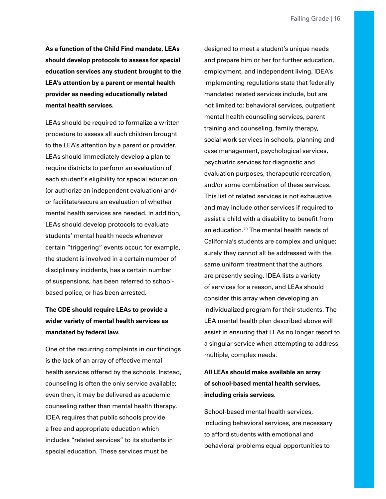<span id="page-19-0"></span>**As a function of the Child Find mandate, LEAs should develop protocols to assess for special education services any student brought to the LEA's attention by a parent or mental health provider as needing educationally related mental health services.**

LEAs should be required to formalize a written procedure to assess all such children brought to the LEA's attention by a parent or provider. LEAs should immediately develop a plan to require districts to perform an evaluation of each student's eligibility for special education (or authorize an independent evaluation) and/ or facilitate/secure an evaluation of whether mental health services are needed. In addition, LEAs should develop protocols to evaluate students' mental health needs whenever certain "triggering" events occur; for example, the student is involved in a certain number of disciplinary incidents, has a certain number of suspensions, has been referred to schoolbased police, or has been arrested.

## **The CDE should require LEAs to provide a wider variety of mental health services as mandated by federal law.**

One of the recurring complaints in our findings is the lack of an array of effective mental health services offered by the schools. Instead, counseling is often the only service available; even then, it may be delivered as academic counseling rather than mental health therapy. IDEA requires that public schools provide a free and appropriate education which includes "related services" to its students in special education. These services must be

designed to meet a student's unique needs and prepare him or her for further education, employment, and independent living. IDEA's implementing regulations state that federally mandated related services include, but are not limited to: behavioral services, outpatient mental health counseling services, parent training and counseling, family therapy, social work services in schools, planning and case management, psychological services, psychiatric services for diagnostic and evaluation purposes, therapeutic recreation, and/or some combination of these services. This list of related services is not exhaustive and may include other services if required to assist a child with a disability to benefit from an education.<sup>29</sup> The mental health needs of California's students are complex and unique; surely they cannot all be addressed with the same uniform treatment that the authors are presently seeing. IDEA lists a variety of services for a reason, and LEAs should consider this array when developing an individualized program for their students. The LEA mental health plan described above will assist in ensuring that LEAs no longer resort to a singular service when attempting to address multiple, complex needs.

## **All LEAs should make available an array of school-based mental health services, including crisis services.**

School-based mental health services, including behavioral services, are necessary to afford students with emotional and behavioral problems equal opportunities to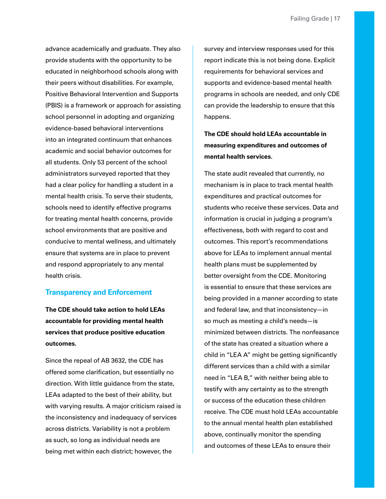<span id="page-20-0"></span>advance academically and graduate. They also provide students with the opportunity to be educated in neighborhood schools along with their peers without disabilities. For example, Positive Behavioral Intervention and Supports (PBIS) is a framework or approach for assisting school personnel in adopting and organizing evidence-based behavioral interventions into an integrated continuum that enhances academic and social behavior outcomes for all students. Only 53 percent of the school administrators surveyed reported that they had a clear policy for handling a student in a mental health crisis. To serve their students, schools need to identify effective programs for treating mental health concerns, provide school environments that are positive and conducive to mental wellness, and ultimately ensure that systems are in place to prevent and respond appropriately to any mental health crisis.

## **Transparency and Enforcement**

**The CDE should take action to hold LEAs accountable for providing mental health services that produce positive education outcomes.**

Since the repeal of AB 3632, the CDE has offered some clarification, but essentially no direction. With little guidance from the state, LEAs adapted to the best of their ability, but with varying results. A major criticism raised is the inconsistency and inadequacy of services across districts. Variability is not a problem as such, so long as individual needs are being met within each district; however, the

survey and interview responses used for this report indicate this is not being done. Explicit requirements for behavioral services and supports and evidence-based mental health programs in schools are needed, and only CDE can provide the leadership to ensure that this happens.

**The CDE should hold LEAs accountable in measuring expenditures and outcomes of mental health services.**

The state audit revealed that currently, no mechanism is in place to track mental health expenditures and practical outcomes for students who receive these services. Data and information is crucial in judging a program's effectiveness, both with regard to cost and outcomes. This report's recommendations above for LEAs to implement annual mental health plans must be supplemented by better oversight from the CDE. Monitoring is essential to ensure that these services are being provided in a manner according to state and federal law, and that inconsistency—in so much as meeting a child's needs—is minimized between districts. The nonfeasance of the state has created a situation where a child in "LEA A" might be getting significantly different services than a child with a similar need in "LEA B," with neither being able to testify with any certainty as to the strength or success of the education these children receive. The CDE must hold LEAs accountable to the annual mental health plan established above, continually monitor the spending and outcomes of these LEAs to ensure their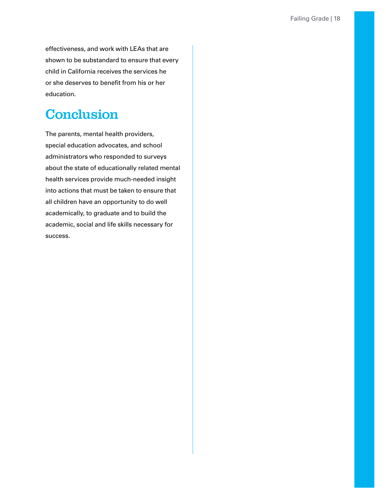<span id="page-21-0"></span>effectiveness, and work with LEAs that are shown to be substandard to ensure that every child in California receives the services he or she deserves to benefit from his or her education.

# **Conclusion**

The parents, mental health providers, special education advocates, and school administrators who responded to surveys about the state of educationally related mental health services provide much-needed insight into actions that must be taken to ensure that all children have an opportunity to do well academically, to graduate and to build the academic, social and life skills necessary for success.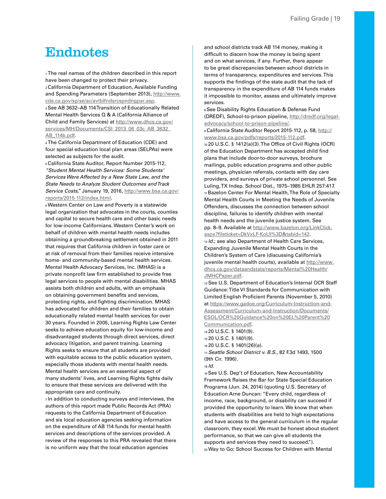## <span id="page-22-0"></span>**Endnotes**

<span id="page-22-1"></span>1 The real names of the children described in this report have been changed to protect their privacy.

<span id="page-22-3"></span><span id="page-22-2"></span>2 California Department of Education, Available Funding and Spending Parameters (September 2013), [http://www.](http://www.cde.ca.gov/sp/se/ac/avlblfndsrcspndngpar.asp) [cde.ca.gov/sp/se/ac/avlblfndsrcspndngpar.asp.](http://www.cde.ca.gov/sp/se/ac/avlblfndsrcspndngpar.asp) 3 See AB 3632–AB 114 Transition of Educationally Related Mental Health Services Q & A (California Alliance of Child and Family Services) at [http://www.dhcs.ca.gov/](http://www.dhcs.ca.gov/services/MH/Documents/CSI_2013_06_03c_AB_3632_AB_114b.pdf) [services/MH/Documents/CSI\\_2013\\_06\\_03c\\_AB\\_3632\\_](http://www.dhcs.ca.gov/services/MH/Documents/CSI_2013_06_03c_AB_3632_AB_114b.pdf) [AB\\_114b.pdf](http://www.dhcs.ca.gov/services/MH/Documents/CSI_2013_06_03c_AB_3632_AB_114b.pdf).

<span id="page-22-4"></span>4 The California Department of Education (CDE) and four special education local plan areas (SELPAs) were selected as subjects for the audit.

<span id="page-22-5"></span>5 California State Auditor, Report Number 2015-112, *"Student Mental Health Services: Some Students' Services Were Affected by a New State Law, and the State Needs to Analyze Student Outcomes and Track Service Costs,"* January 19, 2016, [http://www.bsa.ca.gov/](http://www.bsa.ca.gov/reports/2015-112/index.html) [reports/2015-112/index.html.](http://www.bsa.ca.gov/reports/2015-112/index.html)

<span id="page-22-6"></span>6 Western Center on Law and Poverty is a statewide legal organization that advocates in the courts, counties and capital to secure health care and other basic needs for low-income Californians. Western Center's work on behalf of children with mental health needs includes obtaining a groundbreaking settlement obtained in 2011 that requires that California children in foster care or at risk of removal from their families receive intensive home- and community-based mental health services. Mental Health Advocacy Services, Inc. (MHAS) is a private nonprofit law firm established to provide free legal services to people with mental disabilities. MHAS assists both children and adults, with an emphasis on obtaining government benefits and services, protecting rights, and fighting discrimination. MHAS has advocated for children and their families to obtain educationally related mental health services for over 30 years. Founded in 2005, Learning Rights Law Center seeks to achieve education equity for low-income and disadvantaged students through direct services, direct advocacy litigation, and parent training. Learning Rights seeks to ensure that all students are provided with equitable access to the public education system, especially those students with mental health needs. Mental health services are an essential aspect of many students' lives, and Learning Rights fights daily to ensure that these services are delivered with the appropriate care and continuity.

<span id="page-22-7"></span>7 In addition to conducting surveys and interviews, the authors of this report made Public Records Act (PRA) requests to the California Department of Education and six local education agencies seeking information on the expenditure of AB 114 funds for mental health services and descriptions of the services provided. A review of the responses to this PRA revealed that there is no uniform way that the local education agencies

and school districts track AB 114 money, making it difficult to discern how the money is being spent and on what services, if any. Further, there appear to be great discrepancies between school districts in terms of transparency, expenditures and services. This supports the findings of the state audit that the lack of transparency in the expenditure of AB 114 funds makes it impossible to monitor, assess and ultimately improve services.

<span id="page-22-8"></span>8 See Disability Rights Education & Defense Fund (DREDF), School-to-prison pipeline, [http://dredf.org/legal](http://dredf.org/legal-advocacy/school-to-prison-pipeline/)[advocacy/school-to-prison-pipeline/](http://dredf.org/legal-advocacy/school-to-prison-pipeline/).

<span id="page-22-9"></span>9 California State Auditor Report 2015-112, p. 58, [http://](http://www.bsa.ca.gov/pdfs/reports/2015-112.pdf) [www.bsa.ca.gov/pdfs/reports/2015-112.pdf.](http://www.bsa.ca.gov/pdfs/reports/2015-112.pdf)

<span id="page-22-11"></span><span id="page-22-10"></span>10 20 U.S.C. § 1412(a)(3). The Office of Civil Rights (OCR) of the Education Department has accepted child find plans that include door-to-door surveys, brochure mailings, public education programs and other public meetings, physician referrals, contacts with day care providers, and surveys of private school personnel. See Luling, TX Indep. School Dist., 1975–1985 EHLR 257:417. 11 Bazelon Center For Mental Health, The Role of Specialty Mental Health Courts in Meeting the Needs of Juvenile Offenders, discusses the connection between school discipline, failures to identify children with mental health needs and the juvenile justice system. See pp. 8–9. Available at [http://www.bazelon.org/LinkClick.](http://www.bazelon.org/LinkClick.aspx%3Ffileticket%3DDkVxLF-KoUI%253D%26tabid%3D142) [aspx?fileticket=DkVxLF-KoUI%3D&tabid=142](http://www.bazelon.org/LinkClick.aspx%3Ffileticket%3DDkVxLF-KoUI%253D%26tabid%3D142).

<span id="page-22-12"></span><sup>12</sup>*Id.*; see also Department of Health Care Services, Expanding Juvenile Mental Health Courts in the Children's System of Care (discussing California's juvenile mental health courts), available at [http://www.](http://www.dhcs.ca.gov/dataandstats/reports/Mental%2520Health/JMHCPaper.pdf) [dhcs.ca.gov/dataandstats/reports/Mental%20Health/](http://www.dhcs.ca.gov/dataandstats/reports/Mental%2520Health/JMHCPaper.pdf) [JMHCPaper.pdf.](http://www.dhcs.ca.gov/dataandstats/reports/Mental%2520Health/JMHCPaper.pdf)

<span id="page-22-13"></span>13 See U.S. Department of Education's Internal OCR Staff Guidance: Title VI Standards for Communication with Limited English Proficient Parents (November 5, 2010) at [https://www.gadoe.org/Curriculum-Instruction-and-](https://www.gadoe.org/Curriculum-Instruction-and-Assessment/Curriculum-and-Instruction/Documents/ESOL/OCR%2520Guidance%2520on%2520EL%2520Parent%2520Communication.pdf)[Assessment/Curriculum-and-Instruction/Documents/](https://www.gadoe.org/Curriculum-Instruction-and-Assessment/Curriculum-and-Instruction/Documents/ESOL/OCR%2520Guidance%2520on%2520EL%2520Parent%2520Communication.pdf) [ESOL/OCR%20Guidance%20on%20EL%20Parent%20](https://www.gadoe.org/Curriculum-Instruction-and-Assessment/Curriculum-and-Instruction/Documents/ESOL/OCR%2520Guidance%2520on%2520EL%2520Parent%2520Communication.pdf) [Communication.pdf.](https://www.gadoe.org/Curriculum-Instruction-and-Assessment/Curriculum-and-Instruction/Documents/ESOL/OCR%2520Guidance%2520on%2520EL%2520Parent%2520Communication.pdf)

<span id="page-22-14"></span>14 20 U.S.C. § 1401(9). 15 20 U.S.C. § 1401(9).

<span id="page-22-16"></span><span id="page-22-15"></span>

16 20 U.S.C. § 1401(26)(a).

<span id="page-22-17"></span><sup>17</sup>*Seattle School District v. B.S.*, 82 F.3d 1493, 1500 (9th Cir. 1996).

<span id="page-22-18"></span><sup>18</sup>*Id.*

<span id="page-22-20"></span><span id="page-22-19"></span>19 See U.S. Dep't of Education, New Accountability Framework Raises the Bar for State Special Education Programs (Jun. 24, 2014) (quoting U.S. Secretary of Education Arne Duncan: "Every child, regardless of income, race, background, or disability can succeed if provided the opportunity to learn. We know that when students with disabilities are held to high expectations and have access to the general curriculum in the regular classroom, they excel. We must be honest about student performance, so that we can give all students the supports and services they need to succeed."). 20 Way to Go: School Success for Children with Mental